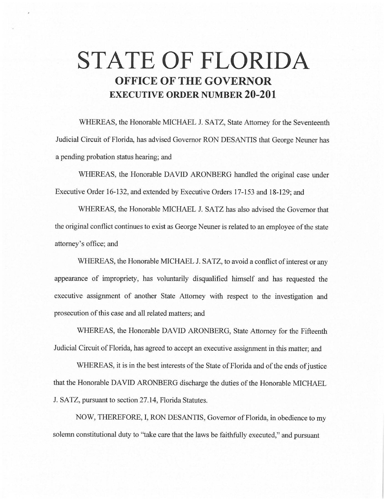# **STATE OF FLORIDA OFFICE OF THE GOVERNOR EXECUTIVE ORDER NUMBER 20-201**

WHEREAS, the Honorable MICHAEL J. SATZ, State Attorney for the Seventeenth Judicial Circuit of Florida, has advised Governor RON DESANTIS that George Neuner has a pending probation status hearing; and

WHEREAS, the Honorable DAVID ARONBERG handled the original case under Executive Order 16-132, and extended by Executive Orders 17-153 and 18-129; and

WHEREAS, the Honorable MICHAEL J. SATZ has also advised the Governor that the original conflict continues to exist as George Neuner is related to an employee of the state attorney'soffice;and

WHEREAS, the Honorable MICHAEL J. SATZ, to avoid a conflict of interest or any appearance of impropriety, has voluntarily disqualified himself and has requested the executive assignment of another State Attorney with respect to the investigation and prosecution of this case and all related matters; and

WHEREAS, the Honorable DAVID ARONBERG, State Attorney for the Fifteenth Judicial Circuit of Florida, has agreed to accept an executive assignment in this matter; and

WHEREAS, it is in the best interests of the State of Florida and of the ends of justice that the Honorable DAVID ARONBERG discharge the duties of the Honorable MICHAEL J. SATZ, pursuant to section 27.14, Florida Statutes.

NOW, THEREFORE, I, RON DESANTIS, Governor of Florida, in obedience to my solemn constitutional duty to "take care that the laws be faithfully executed," and pursuant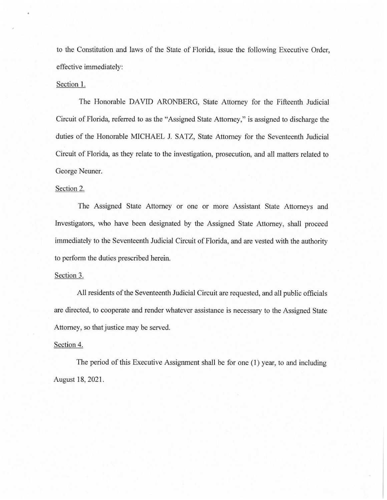to the Constitution and laws of the State of Florida, issue the following Executive Order, effective immediately:

### Section 1.

The Honorable DAVID ARONBERG, State Attorney for the Fifteenth Judicial Circuit of Florida, referred to as the "Assigned State Attorney," is assigned to discharge the duties of the Honorable MICHAEL J. SATZ, State Attorney for the Seventeenth Judicial Circuit of Florida, as they relate to the investigation, prosecution, and all matters related to George Neuner.

#### Section 2.

The Assigned State Attorney or one or more Assistant State Attorneys and Investigators, who have been designated by the Assigned State Attorney, shall proceed immediately to the Seventeenth Judicial Circuit of Florida, and are vested with the authority to perform the duties prescribed herein.

# Section 3.

All residents of the Seventeenth Judicial Circuit are requested, and all public officials are directed, to cooperate and render whatever assistance is necessary to the Assigned State Attorney, so that justice may be served.

## Section 4.

The period of this Executive Assignment shall be for one (I) year, to and including August 18, 2021.